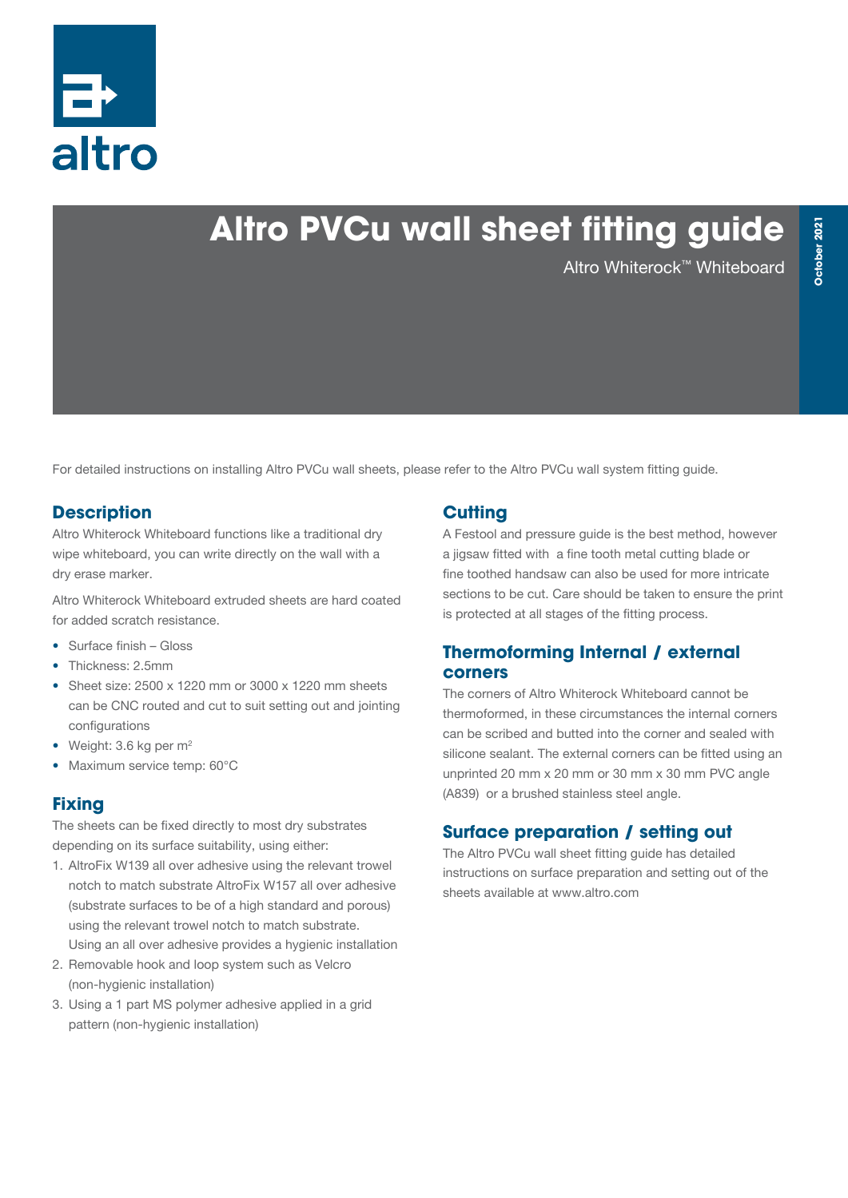

# **Altro PVCu wall sheet fitting guide**

Altro Whiterock™ Whiteboard

For detailed instructions on installing Altro PVCu wall sheets, please refer to the Altro PVCu wall system fitting guide.

## **Description**

Altro Whiterock Whiteboard functions like a traditional dry wipe whiteboard, you can write directly on the wall with a dry erase marker.

Altro Whiterock Whiteboard extruded sheets are hard coated for added scratch resistance.

- Surface finish Gloss
- Thickness: 2.5mm
- Sheet size: 2500 x 1220 mm or 3000 x 1220 mm sheets can be CNC routed and cut to suit setting out and jointing configurations
- Weight:  $3.6$  kg per  $m<sup>2</sup>$
- Maximum service temp: 60°C

### **Fixing**

The sheets can be fixed directly to most dry substrates depending on its surface suitability, using either:

- 1. AltroFix W139 all over adhesive using the relevant trowel notch to match substrate AltroFix W157 all over adhesive (substrate surfaces to be of a high standard and porous) using the relevant trowel notch to match substrate. Using an all over adhesive provides a hygienic installation
- 2. Removable hook and loop system such as Velcro (non-hygienic installation)
- 3. Using a 1 part MS polymer adhesive applied in a grid pattern (non-hygienic installation)

### **Cutting**

A Festool and pressure guide is the best method, however a jigsaw fitted with a fine tooth metal cutting blade or fine toothed handsaw can also be used for more intricate sections to be cut. Care should be taken to ensure the print is protected at all stages of the fitting process.

### **Thermoforming Internal / external corners**

The corners of Altro Whiterock Whiteboard cannot be thermoformed, in these circumstances the internal corners can be scribed and butted into the corner and sealed with silicone sealant. The external corners can be fitted using an unprinted 20 mm x 20 mm or 30 mm x 30 mm PVC angle (A839) or a brushed stainless steel angle.

## **Surface preparation / setting out**

The Altro PVCu wall sheet fitting guide has detailed instructions on surface preparation and setting out of the sheets available at www.altro.com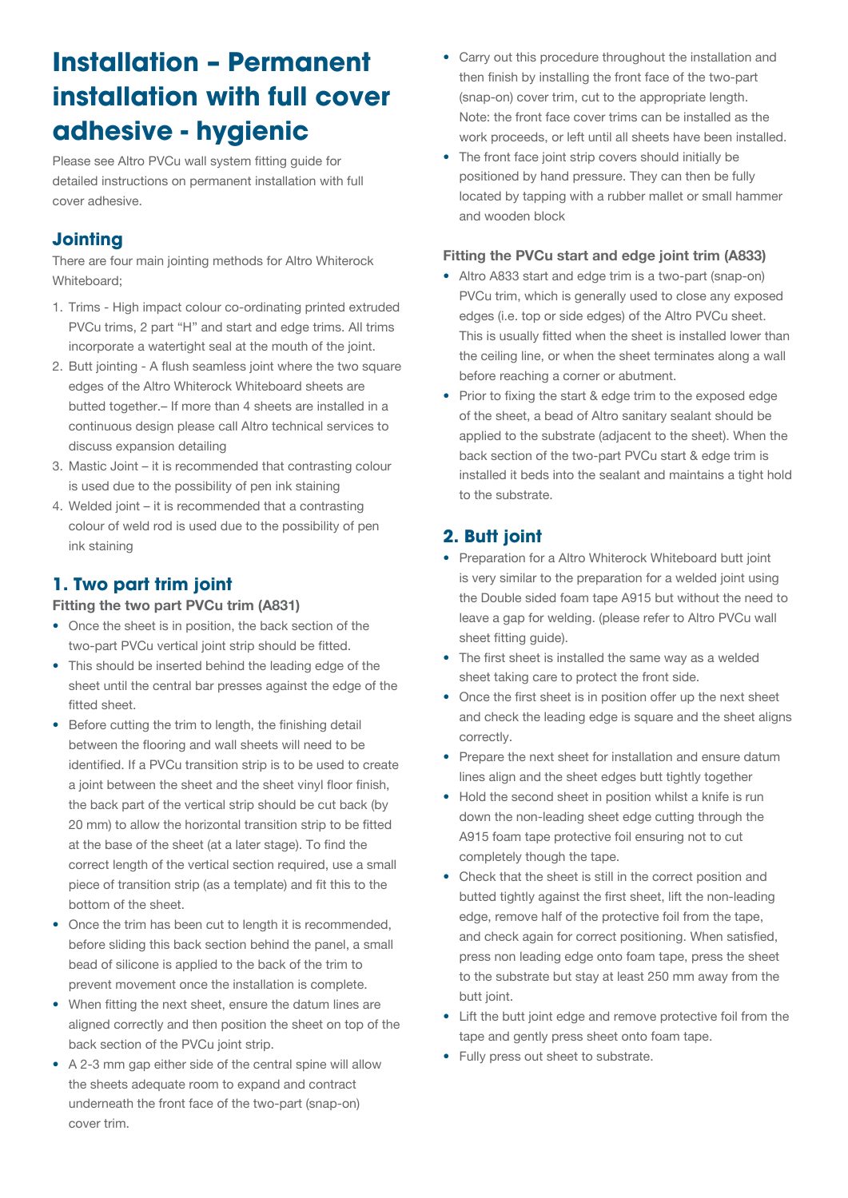## **Installation – Permanent installation with full cover adhesive - hygienic**

Please see Altro PVCu wall system fitting guide for detailed instructions on permanent installation with full cover adhesive.

## **Jointing**

There are four main jointing methods for Altro Whiterock Whiteboard;

- 1. Trims High impact colour co-ordinating printed extruded PVCu trims, 2 part "H" and start and edge trims. All trims incorporate a watertight seal at the mouth of the joint.
- 2. Butt jointing A flush seamless joint where the two square edges of the Altro Whiterock Whiteboard sheets are butted together.– If more than 4 sheets are installed in a continuous design please call Altro technical services to discuss expansion detailing
- 3. Mastic Joint it is recommended that contrasting colour is used due to the possibility of pen ink staining
- 4. Welded joint it is recommended that a contrasting colour of weld rod is used due to the possibility of pen ink staining

## **1. Two part trim joint**

#### Fitting the two part PVCu trim (A831)

- Once the sheet is in position, the back section of the two-part PVCu vertical joint strip should be fitted.
- This should be inserted behind the leading edge of the sheet until the central bar presses against the edge of the fitted sheet.
- Before cutting the trim to length, the finishing detail between the flooring and wall sheets will need to be identified. If a PVCu transition strip is to be used to create a joint between the sheet and the sheet vinyl floor finish, the back part of the vertical strip should be cut back (by 20 mm) to allow the horizontal transition strip to be fitted at the base of the sheet (at a later stage). To find the correct length of the vertical section required, use a small piece of transition strip (as a template) and fit this to the bottom of the sheet.
- Once the trim has been cut to length it is recommended, before sliding this back section behind the panel, a small bead of silicone is applied to the back of the trim to prevent movement once the installation is complete.
- When fitting the next sheet, ensure the datum lines are aligned correctly and then position the sheet on top of the back section of the PVCu joint strip.
- A 2-3 mm gap either side of the central spine will allow the sheets adequate room to expand and contract underneath the front face of the two-part (snap-on) cover trim.
- Carry out this procedure throughout the installation and then finish by installing the front face of the two-part (snap-on) cover trim, cut to the appropriate length. Note: the front face cover trims can be installed as the work proceeds, or left until all sheets have been installed.
- The front face joint strip covers should initially be positioned by hand pressure. They can then be fully located by tapping with a rubber mallet or small hammer and wooden block

#### Fitting the PVCu start and edge joint trim (A833)

- Altro A833 start and edge trim is a two-part (snap-on) PVCu trim, which is generally used to close any exposed edges (i.e. top or side edges) of the Altro PVCu sheet. This is usually fitted when the sheet is installed lower than the ceiling line, or when the sheet terminates along a wall before reaching a corner or abutment.
- Prior to fixing the start & edge trim to the exposed edge of the sheet, a bead of Altro sanitary sealant should be applied to the substrate (adjacent to the sheet). When the back section of the two-part PVCu start & edge trim is installed it beds into the sealant and maintains a tight hold to the substrate.

## **2. Butt joint**

- Preparation for a Altro Whiterock Whiteboard butt joint is very similar to the preparation for a welded joint using the Double sided foam tape A915 but without the need to leave a gap for welding. (please refer to Altro PVCu wall sheet fitting guide).
- The first sheet is installed the same way as a welded sheet taking care to protect the front side.
- Once the first sheet is in position offer up the next sheet and check the leading edge is square and the sheet aligns correctly.
- Prepare the next sheet for installation and ensure datum lines align and the sheet edges butt tightly together
- Hold the second sheet in position whilst a knife is run down the non-leading sheet edge cutting through the A915 foam tape protective foil ensuring not to cut completely though the tape.
- Check that the sheet is still in the correct position and butted tightly against the first sheet, lift the non-leading edge, remove half of the protective foil from the tape, and check again for correct positioning. When satisfied, press non leading edge onto foam tape, press the sheet to the substrate but stay at least 250 mm away from the butt joint.
- Lift the butt joint edge and remove protective foil from the tape and gently press sheet onto foam tape.
- Fully press out sheet to substrate.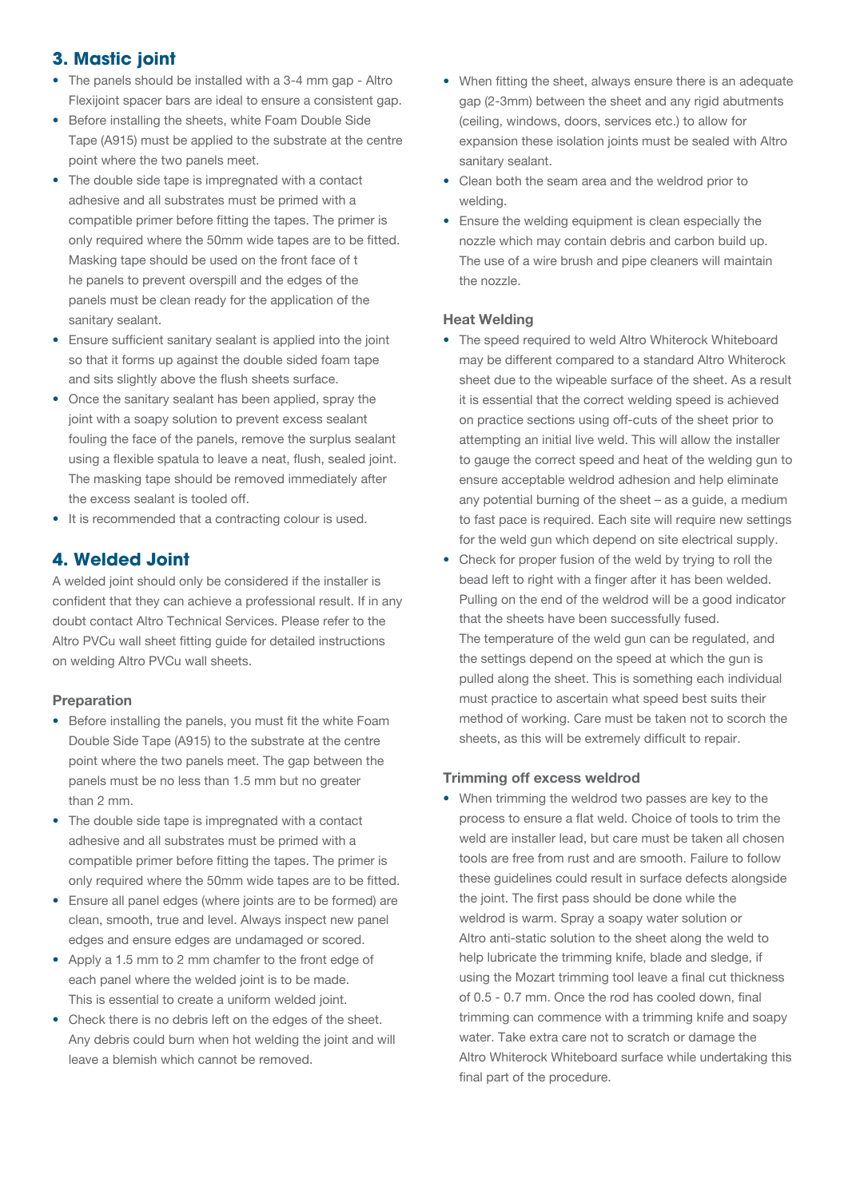## **3. Mastic joint**

- The panels should be installed with a 3-4 mm gap Altro Flexijoint spacer bars are ideal to ensure a consistent gap.
- Before installing the sheets, white Foam Double Side Tape (A915) must be applied to the substrate at the centre point where the two panels meet.
- The double side tape is impregnated with a contact adhesive and all substrates must be primed with a compatible primer before fitting the tapes. The primer is only required where the 50mm wide tapes are to be fitted. Masking tape should be used on the front face of t he panels to prevent overspill and the edges of the panels must be clean ready for the application of the sanitary sealant.
- Ensure sufficient sanitary sealant is applied into the joint so that it forms up against the double sided foam tape and sits slightly above the flush sheets surface.
- Once the sanitary sealant has been applied, spray the joint with a soapy solution to prevent excess sealant fouling the face of the panels, remove the surplus sealant using a flexible spatula to leave a neat, flush, sealed joint. The masking tape should be removed immediately after the excess sealant is tooled off.
- It is recommended that a contracting colour is used.

## **4. Welded Joint**

A welded joint should only be considered if the installer is confident that they can achieve a professional result. If in any doubt contact Altro Technical Services. Please refer to the Altro PVCu wall sheet fitting guide for detailed instructions on welding Altro PVCu wall sheets.

#### Preparation

- Before installing the panels, you must fit the white Foam Double Side Tape (A915) to the substrate at the centre point where the two panels meet. The gap between the panels must be no less than 1.5 mm but no greater than 2 mm.
- The double side tape is impregnated with a contact adhesive and all substrates must be primed with a compatible primer before fitting the tapes. The primer is only required where the 50mm wide tapes are to be fitted.
- Ensure all panel edges (where joints are to be formed) are clean, smooth, true and level. Always inspect new panel edges and ensure edges are undamaged or scored.
- Apply a 1.5 mm to 2 mm chamfer to the front edge of each panel where the welded joint is to be made. This is essential to create a uniform welded joint.
- Check there is no debris left on the edges of the sheet. Any debris could burn when hot welding the joint and will leave a blemish which cannot be removed.
- When fitting the sheet, always ensure there is an adequate gap (2-3mm) between the sheet and any rigid abutments (ceiling, windows, doors, services etc.) to allow for expansion these isolation joints must be sealed with Altro sanitary sealant.
- Clean both the seam area and the weldrod prior to welding.
- Ensure the welding equipment is clean especially the nozzle which may contain debris and carbon build up. The use of a wire brush and pipe cleaners will maintain the nozzle.

#### Heat Welding

- The speed required to weld Altro Whiterock Whiteboard may be different compared to a standard Altro Whiterock sheet due to the wipeable surface of the sheet. As a result it is essential that the correct welding speed is achieved on practice sections using off-cuts of the sheet prior to attempting an initial live weld. This will allow the installer to gauge the correct speed and heat of the welding gun to ensure acceptable weldrod adhesion and help eliminate any potential burning of the sheet – as a guide, a medium to fast pace is required. Each site will require new settings for the weld gun which depend on site electrical supply.
- Check for proper fusion of the weld by trying to roll the bead left to right with a finger after it has been welded. Pulling on the end of the weldrod will be a good indicator that the sheets have been successfully fused. The temperature of the weld gun can be regulated, and the settings depend on the speed at which the gun is pulled along the sheet. This is something each individual must practice to ascertain what speed best suits their method of working. Care must be taken not to scorch the sheets, as this will be extremely difficult to repair.

#### Trimming off excess weldrod

• When trimming the weldrod two passes are key to the process to ensure a flat weld. Choice of tools to trim the weld are installer lead, but care must be taken all chosen tools are free from rust and are smooth. Failure to follow these guidelines could result in surface defects alongside the joint. The first pass should be done while the weldrod is warm. Spray a soapy water solution or Altro anti-static solution to the sheet along the weld to help lubricate the trimming knife, blade and sledge, if using the Mozart trimming tool leave a final cut thickness of 0.5 - 0.7 mm. Once the rod has cooled down, final trimming can commence with a trimming knife and soapy water. Take extra care not to scratch or damage the Altro Whiterock Whiteboard surface while undertaking this final part of the procedure.